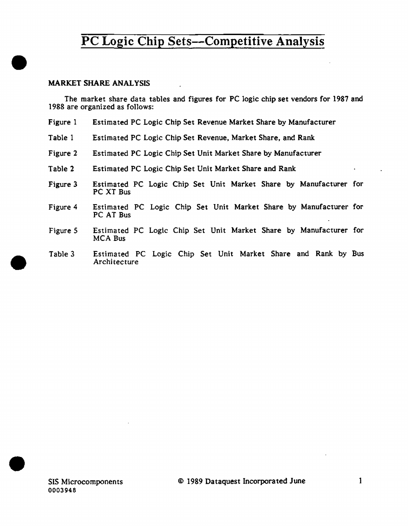### MARKET SHARE ANALYSIS

•

•

•

The market share data tables and figures for PC logic chip set vendors for 1987 and 1988 are organized as follows:

- Figure 1 Estimated PC Logic Chip Set Revenue Market Share by Manufacturer
- Table 1 Estimated PC Logic Chip Set Revenue. Market Share, and Rank
- Figure 2 Estimated PC Logic Chip Set Unit Market Share by Manufacturer
- Table 2 Estimated PC Logic Chip Set Unit Market Share and Rank
- Figure 3 Estimated PC Logic Chip Set Unit Market Share by Manufacturer for PC XT Bus
- Figure 4 Estimated PC Logic Chip Set Unit Market Share by Manufacturer for PC AT Bus
- Figure S Estimated PC Logic Chip Set Unit Market Share by Manufacturer for MCA Bus
- Table 3 Estimated PC Logic Chip Set Unit Market Share and Rank by Bus **Architecture**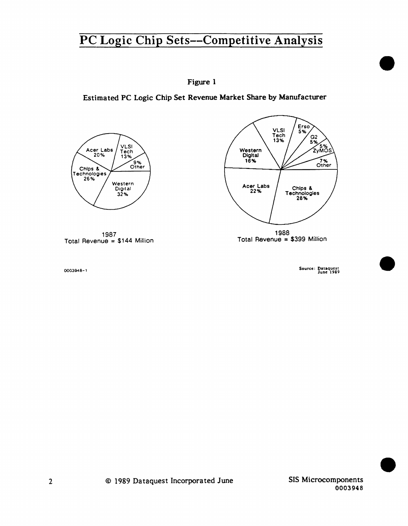## Figure I

Estimated PC Logic Chip Set Revenue Market Share by Manufacturer





1987 Total Revenue = \$144 Million

Source: Dataquest June 1989

•

•

•

0003948-1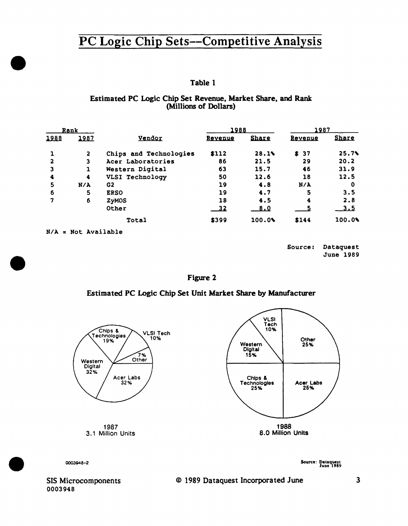### Table 1

#### Estimated PC Logic Chip Set Revenue, Market Share, and Rank (Millions of Dollars)

| Rank |                 |                        | 1988    |              | 1987    |              |
|------|-----------------|------------------------|---------|--------------|---------|--------------|
| 1988 | 1987            | Vendor                 | Revenue | <b>Share</b> | Revenue | <b>Share</b> |
|      | $\mathbf{2}$    | Chips and Technologies | \$112   | 28.1%        | \$ 37   | 25.7%        |
| 2    | 3               | Acer Laboratories      | 86      | 21.5         | 29      | 20.2         |
| 3    |                 | Western Digital        | 63      | 15.7         | 46      | 31.9         |
| 4    | 4               | VLSI Technology        | 50      | 12.6         | 18      | 12.5         |
| 5    | $N/\lambda$     | G2                     | 19      | 4.8          | N/A     | 0            |
| 6    | 5               | <b>ERSO</b>            | 19      | 4.7          | 5       | 3.5          |
| 7    | 6               | <b>ZyMOS</b>           | 18      | 4.5          | 4       | 2.8          |
|      |                 | Other                  | $-32$   | 8.0          |         | <u>3.5</u>   |
|      |                 | Total                  | \$399   | 100.0%       | \$144   | 100.09       |
| N/A  | = Not Available |                        |         |              |         |              |

Source: Dataquest **June 1989** 

Figure 2

## Estimated PC Logic Chip Set Unit Market Share by Manufacturer



0003948-2

Source: Dataquest<br>June 1989

SIS Microcomponents 0003948

#### © 1989 Dataquest Incorporated June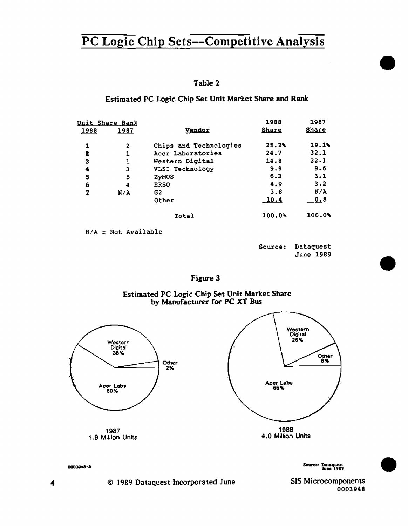| n<br>Ш<br>۰ |  |
|-------------|--|
|-------------|--|

Estimated PC Logic Chip Set Unit Market Share and Rank

|      | Unit Share Rank |                        | 1988         | 1987         |
|------|-----------------|------------------------|--------------|--------------|
| 1988 | 1987            | Vendor                 | <b>Share</b> | <b>Share</b> |
| 1    | 2               | Chips and Technologies | 25.2%        | 19.1%        |
| 2    | 1               | Acer Laboratories      | 24.7         | 32.1         |
| з    | ı               | Western Digital        | 14.8         | 32.1         |
| 4    | 3               | VLSI Technology        | 9.9          | 9.6          |
| 5    | 5               | ZyMOS                  | 6.3          | 3.1          |
| 6    | 4               | <b>ERSO</b>            | 4.9          | 3.2          |
| 7    | N/A             | G2                     | 3.8          | N/A          |
|      |                 | Other                  | <u> 10.4</u> | 0.8          |
|      |                 | Total                  | 100.0%       | 100.0%       |
|      |                 |                        |              |              |

 $N/A = Not Available$ 

Source: Dataquest June 1989

Figure 3

Estimated PC Logic Chip Set Unit Market Share by Manufacturer for PC XT Bus



Source: Dataquest<br>June 1989

SIS Microcomponents 0003948

0003048-3

© 1989 Dataquest Incorporated June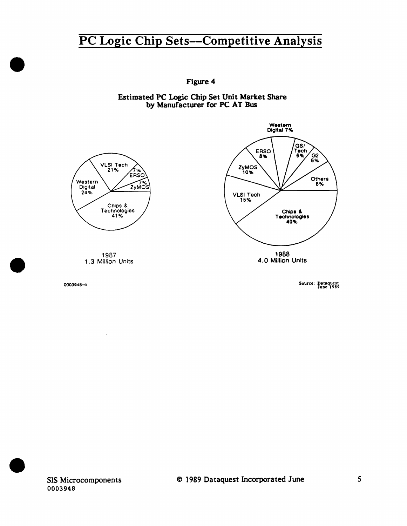Figure 4

Estimated PC Logic Chip Set Unit Market Share by Manufacturer for PC AT Bus



0003948-4

 $\bar{z}$ 

•

•

•

Source: Dataquest<br>1989 June

SIS Microcomponents 0003948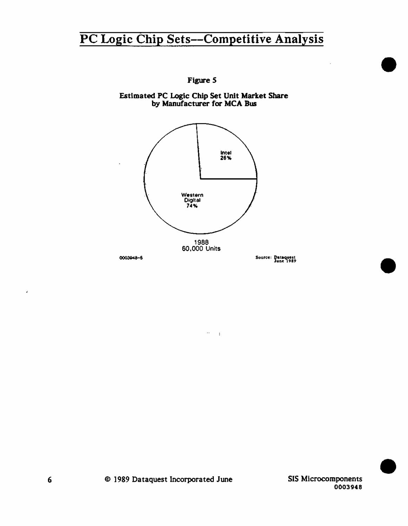

 $\sim 0.000$ 

Figure 5

Estimated PC Logic Chip Set Unit Market Share<br>by Manufacturer for MCA Bus

SIS Microcomponents 0003948

J.

¥